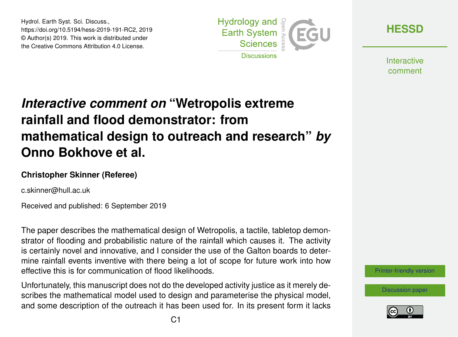Hydrol. Earth Syst. Sci. Discuss., https://doi.org/10.5194/hess-2019-191-RC2, 2019 © Author(s) 2019. This work is distributed under the Creative Commons Attribution 4.0 License.



**[HESSD](https://www.hydrol-earth-syst-sci-discuss.net/)**

**Interactive** comment

## *Interactive comment on* **"Wetropolis extreme rainfall and flood demonstrator: from mathematical design to outreach and research"** *by* **Onno Bokhove et al.**

## **Christopher Skinner (Referee)**

c.skinner@hull.ac.uk

Received and published: 6 September 2019

The paper describes the mathematical design of Wetropolis, a tactile, tabletop demonstrator of flooding and probabilistic nature of the rainfall which causes it. The activity is certainly novel and innovative, and I consider the use of the Galton boards to determine rainfall events inventive with there being a lot of scope for future work into how effective this is for communication of flood likelihoods.

Unfortunately, this manuscript does not do the developed activity justice as it merely describes the mathematical model used to design and parameterise the physical model, and some description of the outreach it has been used for. In its present form it lacks [Printer-friendly version](https://www.hydrol-earth-syst-sci-discuss.net/hess-2019-191/hess-2019-191-RC2-print.pdf)

[Discussion paper](https://www.hydrol-earth-syst-sci-discuss.net/hess-2019-191)

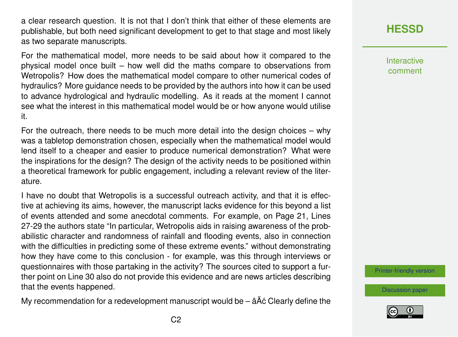a clear research question. It is not that I don't think that either of these elements are publishable, but both need significant development to get to that stage and most likely as two separate manuscripts.

For the mathematical model, more needs to be said about how it compared to the physical model once built – how well did the maths compare to observations from Wetropolis? How does the mathematical model compare to other numerical codes of hydraulics? More guidance needs to be provided by the authors into how it can be used to advance hydrological and hydraulic modelling. As it reads at the moment I cannot see what the interest in this mathematical model would be or how anyone would utilise it.

For the outreach, there needs to be much more detail into the design choices – why was a tabletop demonstration chosen, especially when the mathematical model would lend itself to a cheaper and easier to produce numerical demonstration? What were the inspirations for the design? The design of the activity needs to be positioned within a theoretical framework for public engagement, including a relevant review of the literature.

I have no doubt that Wetropolis is a successful outreach activity, and that it is effective at achieving its aims, however, the manuscript lacks evidence for this beyond a list of events attended and some anecdotal comments. For example, on Page 21, Lines 27-29 the authors state "In particular, Wetropolis aids in raising awareness of the probabilistic character and randomness of rainfall and flooding events, also in connection with the difficulties in predicting some of these extreme events." without demonstrating how they have come to this conclusion - for example, was this through interviews or questionnaires with those partaking in the activity? The sources cited to support a further point on Line 30 also do not provide this evidence and are news articles describing that the events happened.

My recommendation for a redevelopment manuscript would be  $\hat{a}$ Å $\hat{c}$  Clearly define the

**[HESSD](https://www.hydrol-earth-syst-sci-discuss.net/)**

Interactive comment

[Printer-friendly version](https://www.hydrol-earth-syst-sci-discuss.net/hess-2019-191/hess-2019-191-RC2-print.pdf)

[Discussion paper](https://www.hydrol-earth-syst-sci-discuss.net/hess-2019-191)